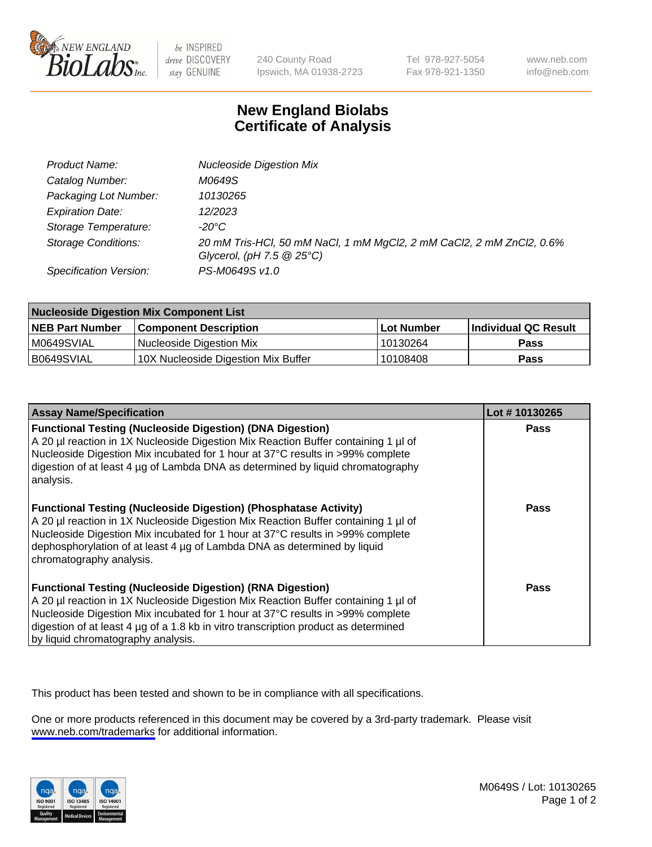

be INSPIRED drive DISCOVERY stay GENUINE

240 County Road Ipswich, MA 01938-2723 Tel 978-927-5054 Fax 978-921-1350

www.neb.com info@neb.com

## **New England Biolabs Certificate of Analysis**

| Product Name:              | <b>Nucleoside Digestion Mix</b>                                                                               |
|----------------------------|---------------------------------------------------------------------------------------------------------------|
| Catalog Number:            | M0649S                                                                                                        |
| Packaging Lot Number:      | 10130265                                                                                                      |
| <b>Expiration Date:</b>    | 12/2023                                                                                                       |
| Storage Temperature:       | -20°C                                                                                                         |
| <b>Storage Conditions:</b> | 20 mM Tris-HCl, 50 mM NaCl, 1 mM MgCl2, 2 mM CaCl2, 2 mM ZnCl2, 0.6%<br>Glycerol, (pH $7.5 \ @ 25^{\circ}C$ ) |
| Specification Version:     | PS-M0649S v1.0                                                                                                |

| <b>Nucleoside Digestion Mix Component List</b> |                                     |            |                       |  |
|------------------------------------------------|-------------------------------------|------------|-----------------------|--|
| <b>NEB Part Number</b>                         | <b>Component Description</b>        | Lot Number | ∣Individual QC Result |  |
| M0649SVIAL                                     | Nucleoside Digestion Mix            | 10130264   | <b>Pass</b>           |  |
| B0649SVIAL                                     | 10X Nucleoside Digestion Mix Buffer | 10108408   | Pass                  |  |

| <b>Assay Name/Specification</b>                                                                                                                                                                                                                                                                                                                                       | Lot #10130265 |
|-----------------------------------------------------------------------------------------------------------------------------------------------------------------------------------------------------------------------------------------------------------------------------------------------------------------------------------------------------------------------|---------------|
| <b>Functional Testing (Nucleoside Digestion) (DNA Digestion)</b><br>A 20 µl reaction in 1X Nucleoside Digestion Mix Reaction Buffer containing 1 µl of<br>Nucleoside Digestion Mix incubated for 1 hour at 37°C results in >99% complete<br>digestion of at least 4 µg of Lambda DNA as determined by liguid chromatography<br>analysis.                              | Pass          |
| <b>Functional Testing (Nucleoside Digestion) (Phosphatase Activity)</b><br>A 20 µl reaction in 1X Nucleoside Digestion Mix Reaction Buffer containing 1 µl of<br>Nucleoside Digestion Mix incubated for 1 hour at 37°C results in >99% complete<br>dephosphorylation of at least 4 µg of Lambda DNA as determined by liquid<br>chromatography analysis.               | Pass          |
| <b>Functional Testing (Nucleoside Digestion) (RNA Digestion)</b><br>A 20 µl reaction in 1X Nucleoside Digestion Mix Reaction Buffer containing 1 µl of<br>Nucleoside Digestion Mix incubated for 1 hour at 37°C results in >99% complete<br>digestion of at least 4 µg of a 1.8 kb in vitro transcription product as determined<br>by liquid chromatography analysis. | Pass          |

This product has been tested and shown to be in compliance with all specifications.

One or more products referenced in this document may be covered by a 3rd-party trademark. Please visit <www.neb.com/trademarks>for additional information.